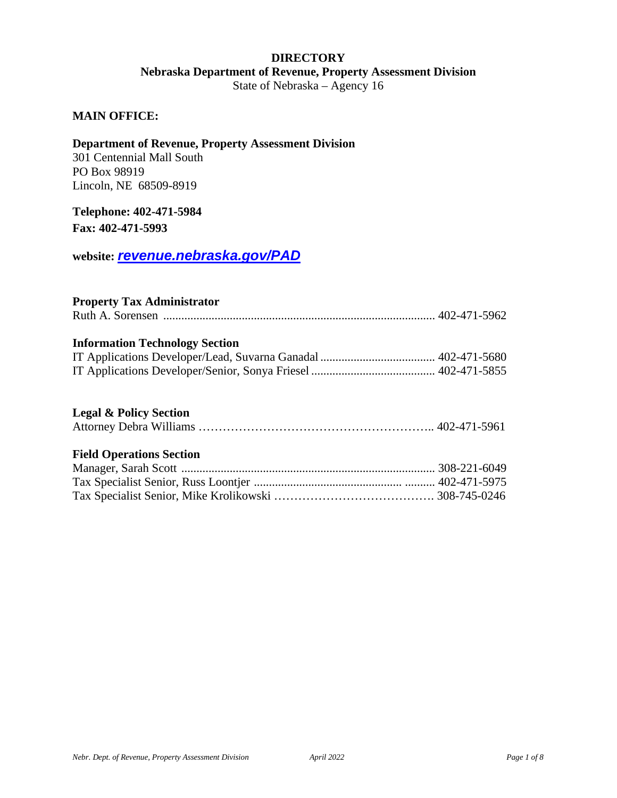# **DIRECTORY Nebraska Department of Revenue, Property Assessment Division**

State of Nebraska – Agency 16

#### **MAIN OFFICE:**

#### **Department of Revenue, Property Assessment Division**

301 Centennial Mall South PO Box 98919 Lincoln, NE 68509-8919

#### *0B***Telephone: 402-471-5984**

**Fax: 402-471-5993**

 $100$ <sup>*Website: <i>[revenue.nebraska.gov/PAD](https://revenue.nebraska.gov/PAD)*</sup>

#### **Property Tax Administrator**

|--|--|--|--|--|--|

#### **Information Technology Section**

#### **Legal & Policy Section**

# **Field Operations Section**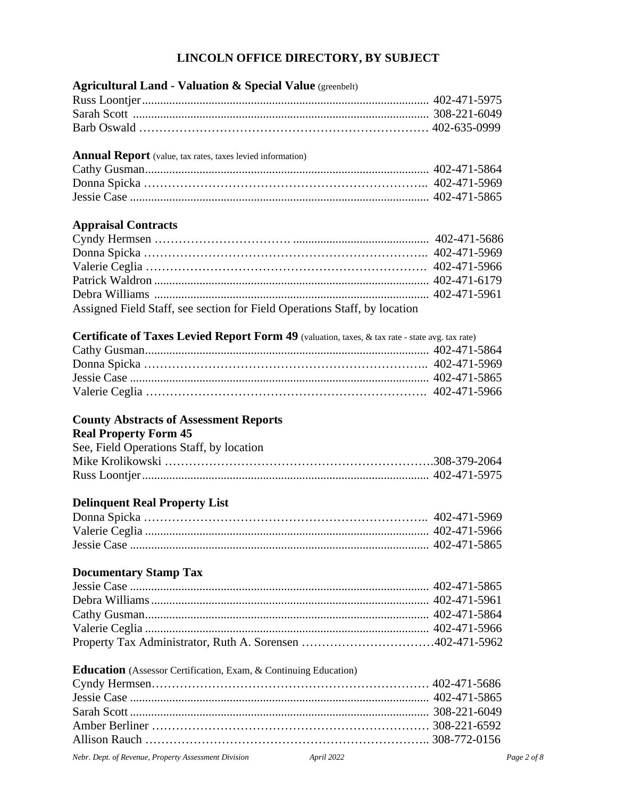# **LINCOLN OFFICE DIRECTORY, BY SUBJECT**

| <b>Agricultural Land - Valuation &amp; Special Value</b> (greenbelt)                            |  |
|-------------------------------------------------------------------------------------------------|--|
|                                                                                                 |  |
|                                                                                                 |  |
|                                                                                                 |  |
| <b>Annual Report</b> (value, tax rates, taxes levied information)                               |  |
|                                                                                                 |  |
|                                                                                                 |  |
|                                                                                                 |  |
| <b>Appraisal Contracts</b>                                                                      |  |
|                                                                                                 |  |
|                                                                                                 |  |
|                                                                                                 |  |
|                                                                                                 |  |
|                                                                                                 |  |
| Assigned Field Staff, see section for Field Operations Staff, by location                       |  |
| Certificate of Taxes Levied Report Form 49 (valuation, taxes, & tax rate - state avg. tax rate) |  |
|                                                                                                 |  |
|                                                                                                 |  |
|                                                                                                 |  |
|                                                                                                 |  |
| <b>County Abstracts of Assessment Reports</b>                                                   |  |
| <b>Real Property Form 45</b>                                                                    |  |
| See, Field Operations Staff, by location                                                        |  |
|                                                                                                 |  |
|                                                                                                 |  |
| <b>Delinquent Real Property List</b>                                                            |  |
|                                                                                                 |  |
|                                                                                                 |  |
|                                                                                                 |  |
| <b>Documentary Stamp Tax</b>                                                                    |  |
|                                                                                                 |  |
|                                                                                                 |  |
|                                                                                                 |  |
|                                                                                                 |  |
|                                                                                                 |  |
| <b>Education</b> (Assessor Certification, Exam, & Continuing Education)                         |  |
|                                                                                                 |  |
|                                                                                                 |  |
|                                                                                                 |  |
|                                                                                                 |  |
|                                                                                                 |  |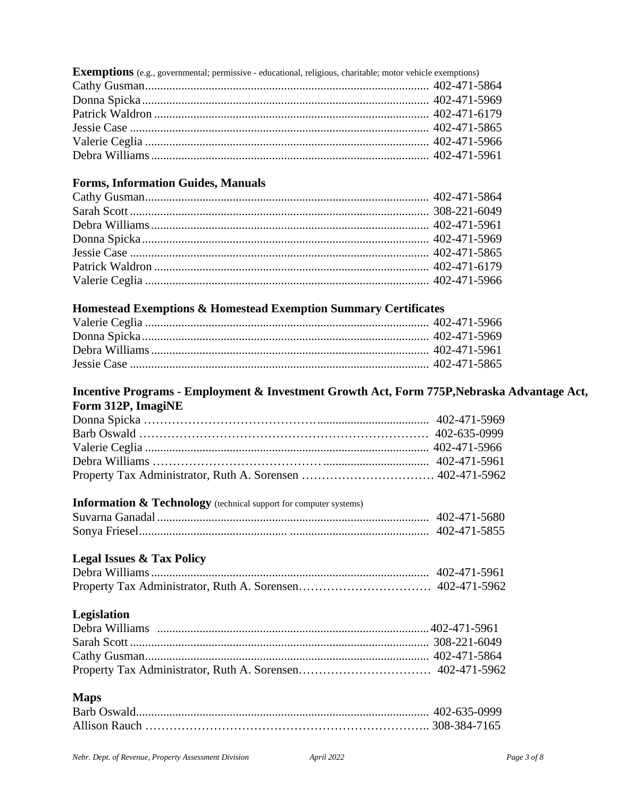| <b>Exemptions</b> (e.g., governmental; permissive - educational, religious, charitable; motor vehicle exemptions) |  |
|-------------------------------------------------------------------------------------------------------------------|--|
|                                                                                                                   |  |
|                                                                                                                   |  |
|                                                                                                                   |  |
|                                                                                                                   |  |
|                                                                                                                   |  |
|                                                                                                                   |  |

# **Forms, Information Guides, Manuals**

# **Homestead Exemptions & Homestead Exemption Summary Certificates**

### **Incentive Programs - Employment & Investment Growth Act, Form 775P,Nebraska Advantage Act, Form 312P, ImagiNE**

# **Information & Technology** (technical support for computer systems)

| 402-471-5680 |
|--------------|
| 402-471-5855 |

# **Legal Issues & Tax Policy**

# **Legislation**

# **Maps**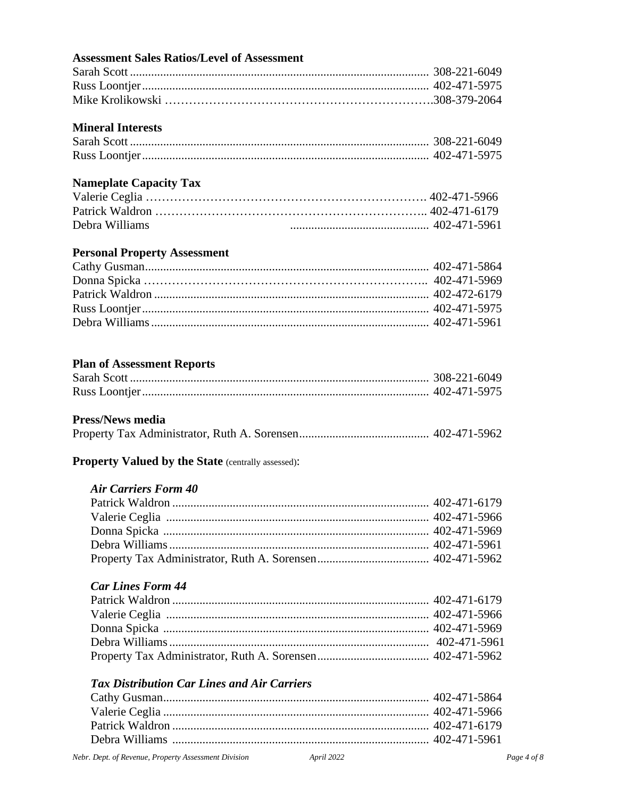# **Assessment Sales Ratios/Level of Assessment**

# **Mineral Interests**

# **Nameplate Capacity Tax**

| Debra Williams |  |
|----------------|--|

# **Personal Property Assessment**

# **Plan of Assessment Reports**

### **Press/News media**

|--|--|--|--|--|--|--|

# Property Valued by the State (centrally assessed):

#### *Air Carriers Form 40*

# *Car Lines Form 44*

# *Tax Distribution Car Lines and Air Carriers*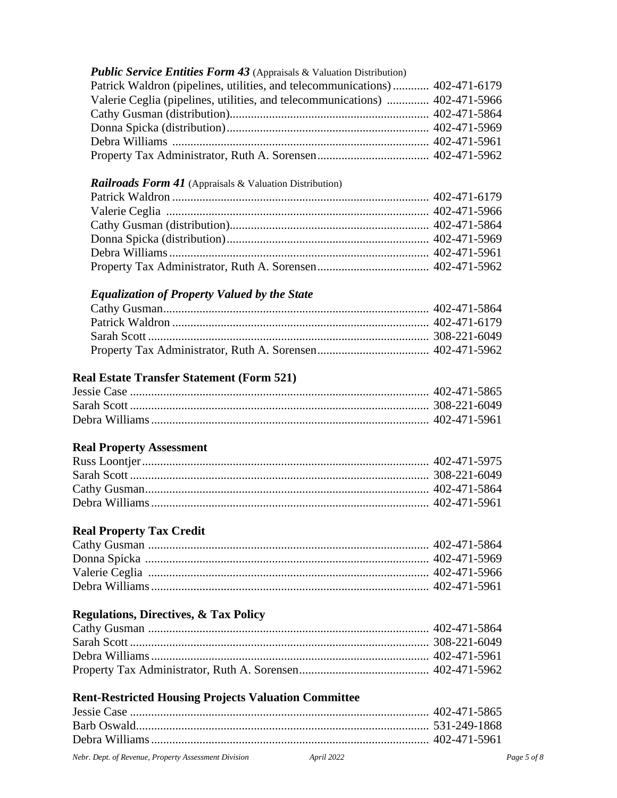# *Public Service Entities Form 43* (Appraisals & Valuation Distribution) Patrick Waldron (pipelines, utilities, and telecommunications)............ 402-471-6179 Valerie Ceglia (pipelines, utilities, and telecommunications) .............. 402-471-5966 Cathy Gusman (distribution).................................................................. 402-471-5864 Donna Spicka (distribution)................................................................... 402-471-5969 Debra Williams ..................................................................................... 402-471-5961 Property Tax Administrator, Ruth A. Sorensen..................................... 402-471-5962

### *Railroads Form 41* (Appraisals & Valuation Distribution)

# *Equalization of Property Valued by the State*

# **Real Estate Transfer Statement (Form 521)**

# **Real Property Assessment**

# **Real Property Tax Credit**

# **Regulations, Directives, & Tax Policy**

# **Rent-Restricted Housing Projects Valuation Committee**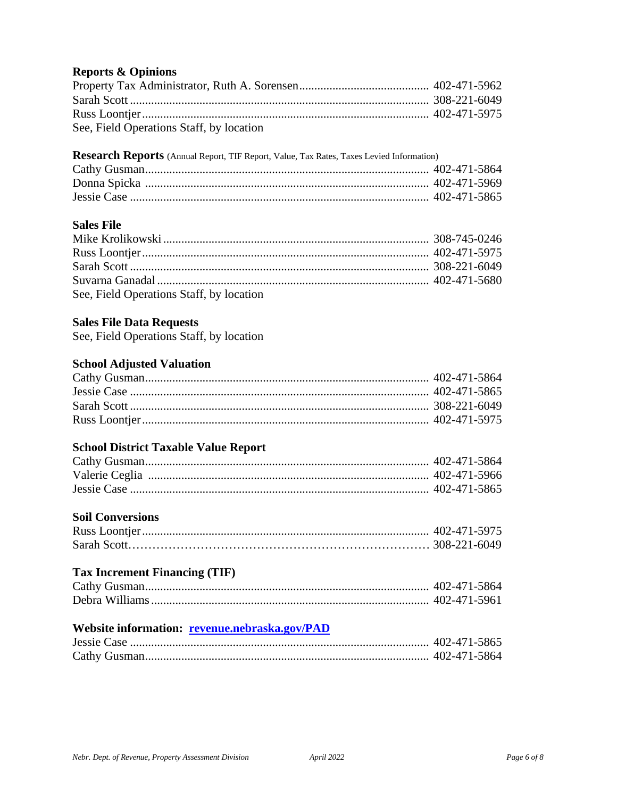# **Reports & Opinions**

| See, Field Operations Staff, by location |  |
|------------------------------------------|--|

#### **Research Reports** (Annual Report, TIF Report, Value, Tax Rates, Taxes Levied Information)

#### **Sales File**

| See, Field Operations Staff, by location |  |
|------------------------------------------|--|

#### **Sales File Data Requests**

See, Field Operations Staff, by location

# **School Adjusted Valuation**

#### **School District Taxable Value Report**

# **Soil Conversions**

# **Tax Increment Financing (TIF)**

# **Website information: <u>[revenue.nebraska.gov/PAD](https://revenue.nebraska.gov/PAD)</u>**

| 402-471-5865 |
|--------------|
| 402-471-5864 |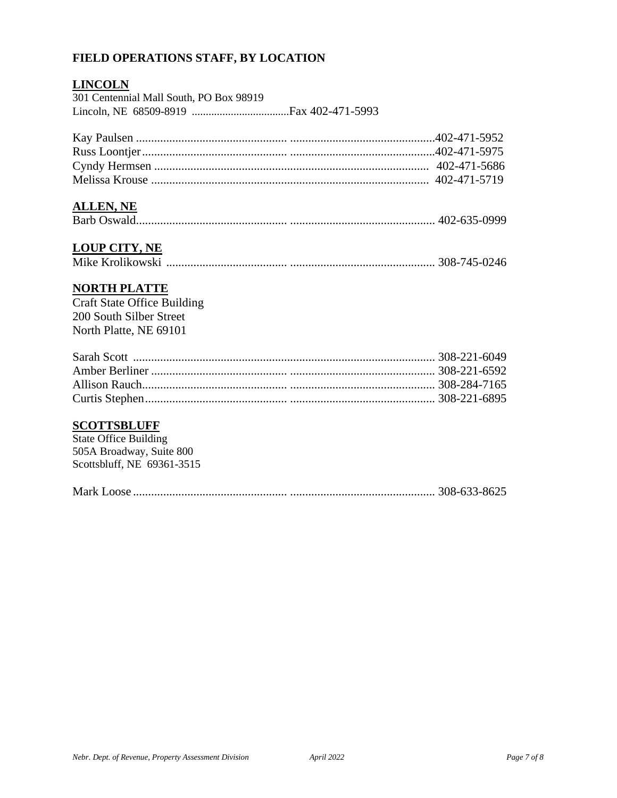# **FIELD OPERATIONS STAFF, BY LOCATION**

### *<sup>U</sup>***LINCOLN**

| 301 Centennial Mall South, PO Box 98919 |  |
|-----------------------------------------|--|
|                                         |  |

### *<sup>U</sup>***ALLEN, NE**

|--|--|--|--|

# *<sup>U</sup>***LOUP CITY, NE**

|--|--|--|--|--|--|--|

# *<sup>U</sup>***NORTH PLATTE**

Craft State Office Building 200 South Silber Street North Platte, NE 69101

# **SCOTTSBLUFF**

State Office Building 505A Broadway, Suite 800 Scottsbluff, NE 69361-3515

|--|--|